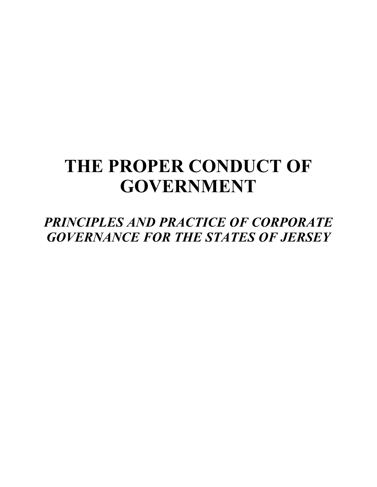# **THE PROPER CONDUCT OF GOVERNMENT**

*PRINCIPLES AND PRACTICE OF CORPORATE GOVERNANCE FOR THE STATES OF JERSEY*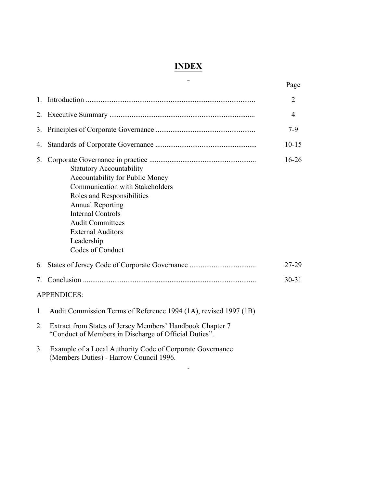## **INDEX**

|                                                                                                                                                                                                                                                                                           | Page           |
|-------------------------------------------------------------------------------------------------------------------------------------------------------------------------------------------------------------------------------------------------------------------------------------------|----------------|
| $\mathbf{1}$                                                                                                                                                                                                                                                                              | $\overline{2}$ |
| 2.                                                                                                                                                                                                                                                                                        | 4              |
| 3.                                                                                                                                                                                                                                                                                        | $7-9$          |
| 4.                                                                                                                                                                                                                                                                                        | $10 - 15$      |
| 5.<br><b>Statutory Accountability</b><br>Accountability for Public Money<br>Communication with Stakeholders<br>Roles and Responsibilities<br><b>Annual Reporting</b><br><b>Internal Controls</b><br><b>Audit Committees</b><br><b>External Auditors</b><br>Leadership<br>Codes of Conduct | $16 - 26$      |
| 6.                                                                                                                                                                                                                                                                                        | 27-29          |
| 7.                                                                                                                                                                                                                                                                                        | $30 - 31$      |
| <b>APPENDICES:</b>                                                                                                                                                                                                                                                                        |                |
| Audit Commission Terms of Reference 1994 (1A), revised 1997 (1B)<br>$\mathbf{1}$                                                                                                                                                                                                          |                |
| Extract from States of Jersey Members' Handbook Chapter 7<br>2.<br>"Conduct of Members in Discharge of Official Duties".                                                                                                                                                                  |                |
| Example of a Local Authority Code of Corporate Governance<br>3.<br>(Members Duties) - Harrow Council 1996.                                                                                                                                                                                |                |

 $\sim$   $-$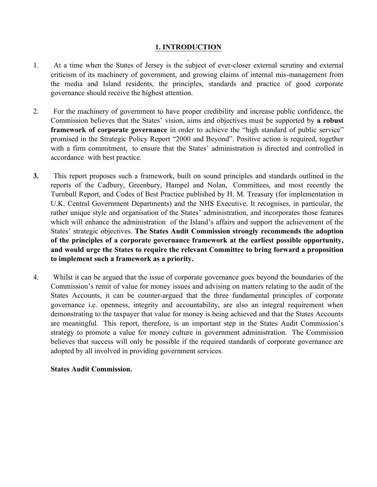## **1. INTRODUCTION**

- 1. At a time when the States of Jersey is the subject of ever-closer external scrutiny and external criticism of its machinery of government, and growing claims of internal mis-management from the media and Island residents, the principles, standards and practice of good corporate governance should receive the highest attention.
- 2. For the machinery of government to have proper credibility and increase public confidence, the Commission believes that the States' vision, aims and objectives must be supported by **a robust framework of corporate governance** in order to achieve the "high standard of public service" promised in the Strategic Policy Report "2000 and Beyond". Positive action is required, together with a firm commitment, to ensure that the States' administration is directed and controlled in accordance with best practice.
- **3.** This report proposes such a framework, built on sound principles and standards outlined in the reports of the Cadbury, Greenbury, Hampel and Nolan, Committees, and most recently the Turnbull Report, and Codes of Best Practice published by H. M. Treasury (for implementation in U.K. Central Government Departments) and the NHS Executive. It recognises, in particular, the rather unique style and organisation of the States' administration, and incorporates those features which will enhance the administration of the Island's affairs and support the achievement of the States' strategic objectives. **The States Audit Commission strongly recommends the adoption of the principles of a corporate governance framework at the earliest possible opportunity, and would urge the States to require the relevant Committee to bring forward a proposition to implement such a framework as a priority.**
- 4. Whilst it can be argued that the issue of corporate governance goes beyond the boundaries of the Commission's remit of value for money issues and advising on matters relating to the audit of the States Accounts, it can be counter-argued that the three fundamental principles of corporate governance i.e. openness, integrity and accountability, are also an integral requirement when demonstrating to the taxpayer that value for money is being achieved and that the States Accounts are meaningful. This report, therefore, is an important step in the States Audit Commission's strategy to promote a value for money culture in government administration. The Commission believes that success will only be possible if the required standards of corporate governance are adopted by all involved in providing government services.

## **States Audit Commission.**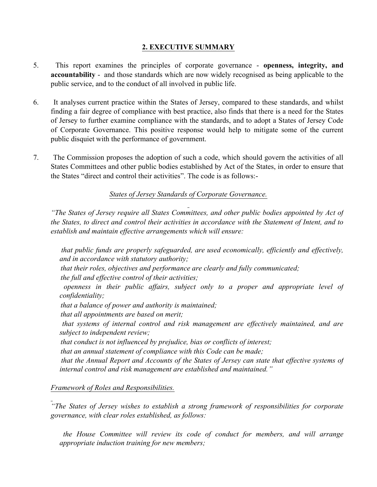## **2. EXECUTIVE SUMMARY**

- 5. This report examines the principles of corporate governance **openness, integrity, and accountability** - and those standards which are now widely recognised as being applicable to the public service, and to the conduct of all involved in public life.
- 6. It analyses current practice within the States of Jersey, compared to these standards, and whilst finding a fair degree of compliance with best practice, also finds that there is a need for the States of Jersey to further examine compliance with the standards, and to adopt a States of Jersey Code of Corporate Governance. This positive response would help to mitigate some of the current public disquiet with the performance of government.
- 7. The Commission proposes the adoption of such a code, which should govern the activities of all States Committees and other public bodies established by Act of the States, in order to ensure that the States "direct and control their activities". The code is as follows:-

*States of Jersey Standards of Corporate Governance.*

*"The States of Jersey require all States Committees, and other public bodies appointed by Act of the States, to direct and control their activities in accordance with the Statement of Intent, and to establish and maintain effective arrangements which will ensure:*

 *that public funds are properly safeguarded, are used economically, efficiently and effectively, and in accordance with statutory authority;*

*that their roles, objectives and performance are clearly and fully communicated;*

*the full and effective control of their activities;*

 *openness in their public affairs, subject only to a proper and appropriate level of confidentiality;*

*that a balance of power and authority is maintained;*

*that all appointments are based on merit;*

 *that systems of internal control and risk management are effectively maintained, and are subject to independent review;*

*that conduct is not influenced by prejudice, bias or conflicts of interest;*

*that an annual statement of compliance with this Code can be made;*

 *that the Annual Report and Accounts of the States of Jersey can state that effective systems of internal control and risk management are established and maintained."*

## *Framework of Roles and Responsibilities.*

*"The States of Jersey wishes to establish a strong framework of responsibilities for corporate governance, with clear roles established, as follows:*

 *the House Committee will review its code of conduct for members, and will arrange appropriate induction training for new members;*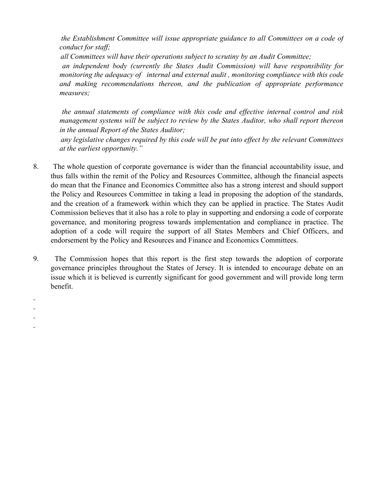*the Establishment Committee will issue appropriate guidance to all Committees on a code of conduct for staff;*

*all Committees will have their operations subject to scrutiny by an Audit Committee;*

 *an independent body (currently the States Audit Commission) will have responsibility for monitoring the adequacy of internal and external audit , monitoring compliance with this code and making recommendations thereon, and the publication of appropriate performance measures;*

 *the annual statements of compliance with this code and effective internal control and risk management systems will be subject to review by the States Auditor, who shall report thereon in the annual Report of the States Auditor;*

 *any legislative changes required by this code will be put into effect by the relevant Committees at the earliest opportunity."*

- 8. The whole question of corporate governance is wider than the financial accountability issue, and thus falls within the remit of the Policy and Resources Committee, although the financial aspects do mean that the Finance and Economics Committee also has a strong interest and should support the Policy and Resources Committee in taking a lead in proposing the adoption of the standards, and the creation of a framework within which they can be applied in practice. The States Audit Commission believes that it also has a role to play in supporting and endorsing a code of corporate governance, and monitoring progress towards implementation and compliance in practice. The adoption of a code will require the support of all States Members and Chief Officers, and endorsement by the Policy and Resources and Finance and Economics Committees.
- 9. The Commission hopes that this report is the first step towards the adoption of corporate governance principles throughout the States of Jersey. It is intended to encourage debate on an issue which it is believed is currently significant for good government and will provide long term benefit.

 $\overline{a}$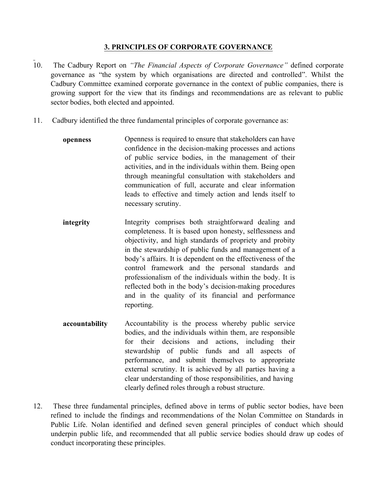## **3. PRINCIPLES OF CORPORATE GOVERNANCE**

- 10. The Cadbury Report on *"The Financial Aspects of Corporate Governance"* defined corporate governance as "the system by which organisations are directed and controlled". Whilst the Cadbury Committee examined corporate governance in the context of public companies, there is growing support for the view that its findings and recommendations are as relevant to public sector bodies, both elected and appointed.
- 11. Cadbury identified the three fundamental principles of corporate governance as:
	- **openness** Openness is required to ensure that stakeholders can have confidence in the decision-making processes and actions of public service bodies, in the management of their activities, and in the individuals within them. Being open through meaningful consultation with stakeholders and communication of full, accurate and clear information leads to effective and timely action and lends itself to necessary scrutiny.
	- **integrity** Integrity comprises both straightforward dealing and completeness. It is based upon honesty, selflessness and objectivity, and high standards of propriety and probity in the stewardship of public funds and management of a body's affairs. It is dependent on the effectiveness of the control framework and the personal standards and professionalism of the individuals within the body. It is reflected both in the body's decision-making procedures and in the quality of its financial and performance reporting.
	- **accountability** Accountability is the process whereby public service bodies, and the individuals within them, are responsible for their decisions and actions, including their stewardship of public funds and all aspects of performance, and submit themselves to appropriate external scrutiny. It is achieved by all parties having a clear understanding of those responsibilities, and having clearly defined roles through a robust structure.
- 12. These three fundamental principles, defined above in terms of public sector bodies, have been refined to include the findings and recommendations of the Nolan Committee on Standards in Public Life. Nolan identified and defined seven general principles of conduct which should underpin public life, and recommended that all public service bodies should draw up codes of conduct incorporating these principles.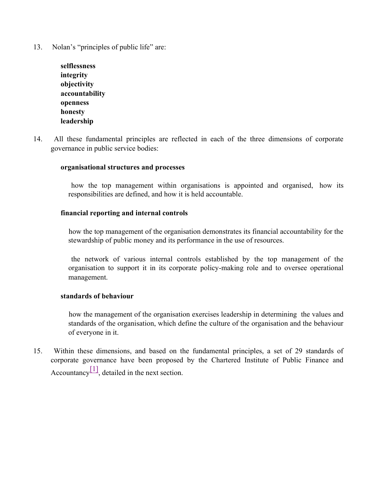13. Nolan's "principles of public life" are:

| selflessness   |
|----------------|
| integrity      |
| objectivity    |
| accountability |
| openness       |
| honesty        |
| leadership     |

14. All these fundamental principles are reflected in each of the three dimensions of corporate governance in public service bodies:

#### **organisational structures and processes**

 how the top management within organisations is appointed and organised, how its responsibilities are defined, and how it is held accountable.

#### **financial reporting and internal controls**

 how the top management of the organisation demonstrates its financial accountability for the stewardship of public money and its performance in the use of resources.

 the network of various internal controls established by the top management of the organisation to support it in its corporate policy-making role and to oversee operational management.

#### **standards of behaviour**

 how the management of the organisation exercises leadership in determining the values and standards of the organisation, which define the culture of the organisation and the behaviour of everyone in it.

15. Within these dimensions, and based on the fundamental principles, a set of 29 standards of corporate governance have been proposed by the Chartered Institute of Public Finance and Accountancy  $\left[1\right]$ , detailed in the next section.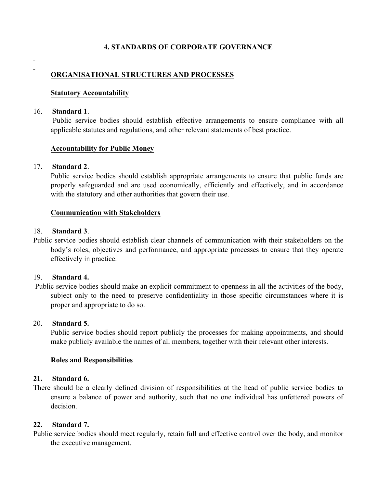## **4. STANDARDS OF CORPORATE GOVERNANCE**

**ORGANISATIONAL STRUCTURES AND PROCESSES**

#### **Statutory Accountability**

#### 16. **Standard 1**.

 $\overline{a}$ 

Public service bodies should establish effective arrangements to ensure compliance with all applicable statutes and regulations, and other relevant statements of best practice.

#### **Accountability for Public Money**

#### 17. **Standard 2**.

Public service bodies should establish appropriate arrangements to ensure that public funds are properly safeguarded and are used economically, efficiently and effectively, and in accordance with the statutory and other authorities that govern their use.

#### **Communication with Stakeholders**

#### 18. **Standard 3**.

Public service bodies should establish clear channels of communication with their stakeholders on the body's roles, objectives and performance, and appropriate processes to ensure that they operate effectively in practice.

#### 19. **Standard 4.**

Public service bodies should make an explicit commitment to openness in all the activities of the body, subject only to the need to preserve confidentiality in those specific circumstances where it is proper and appropriate to do so.

#### 20. **Standard 5.**

Public service bodies should report publicly the processes for making appointments, and should make publicly available the names of all members, together with their relevant other interests.

#### **Roles and Responsibilities**

#### **21. Standard 6.**

There should be a clearly defined division of responsibilities at the head of public service bodies to ensure a balance of power and authority, such that no one individual has unfettered powers of decision.

#### **22. Standard 7.**

Public service bodies should meet regularly, retain full and effective control over the body, and monitor the executive management.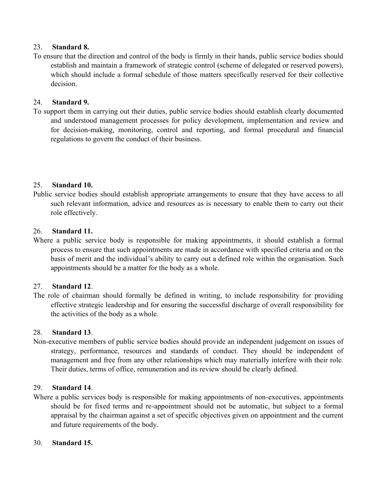## 23. **Standard 8.**

To ensure that the direction and control of the body is firmly in their hands, public service bodies should establish and maintain a framework of strategic control (scheme of delegated or reserved powers), which should include a formal schedule of those matters specifically reserved for their collective decision.

## 24. **Standard 9.**

To support them in carrying out their duties, public service bodies should establish clearly documented and understood management processes for policy development, implementation and review and for decision-making, monitoring, control and reporting, and formal procedural and financial regulations to govern the conduct of their business.

## 25. **Standard 10.**

Public service bodies should establish appropriate arrangements to ensure that they have access to all such relevant information, advice and resources as is necessary to enable them to carry out their role effectively.

## 26. **Standard 11.**

Where a public service body is responsible for making appointments, it should establish a formal process to ensure that such appointments are made in accordance with specified criteria and on the basis of merit and the individual's ability to carry out a defined role within the organisation. Such appointments should be a matter for the body as a whole.

## 27. **Standard 12**.

The role of chairman should formally be defined in writing, to include responsibility for providing effective strategic leadership and for ensuring the successful discharge of overall responsibility for the activities of the body as a whole.

## 28. **Standard 13**.

Non-executive members of public service bodies should provide an independent judgement on issues of strategy, performance, resources and standards of conduct. They should be independent of management and free from any other relationships which may materially interfere with their role. Their duties, terms of office, remuneration and its review should be clearly defined.

## 29. **Standard 14**.

Where a public services body is responsible for making appointments of non-executives, appointments should be for fixed terms and re-appointment should not be automatic, but subject to a formal appraisal by the chairman against a set of specific objectives given on appointment and the current and future requirements of the body.

## 30. **Standard 15.**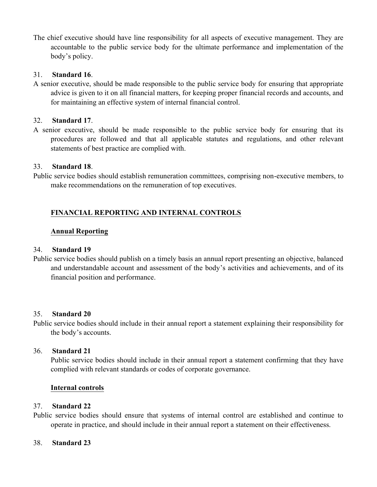The chief executive should have line responsibility for all aspects of executive management. They are accountable to the public service body for the ultimate performance and implementation of the body's policy.

## 31. **Standard 16**.

A senior executive, should be made responsible to the public service body for ensuring that appropriate advice is given to it on all financial matters, for keeping proper financial records and accounts, and for maintaining an effective system of internal financial control.

## 32. **Standard 17**.

A senior executive, should be made responsible to the public service body for ensuring that its procedures are followed and that all applicable statutes and regulations, and other relevant statements of best practice are complied with.

### 33. **Standard 18**.

Public service bodies should establish remuneration committees, comprising non-executive members, to make recommendations on the remuneration of top executives.

## **FINANCIAL REPORTING AND INTERNAL CONTROLS**

### **Annual Reporting**

#### 34. **Standard 19**

Public service bodies should publish on a timely basis an annual report presenting an objective, balanced and understandable account and assessment of the body's activities and achievements, and of its financial position and performance.

#### 35. **Standard 20**

Public service bodies should include in their annual report a statement explaining their responsibility for the body's accounts.

#### 36. **Standard 21**

Public service bodies should include in their annual report a statement confirming that they have complied with relevant standards or codes of corporate governance.

#### **Internal controls**

#### 37. **Standard 22**

Public service bodies should ensure that systems of internal control are established and continue to operate in practice, and should include in their annual report a statement on their effectiveness.

#### 38. **Standard 23**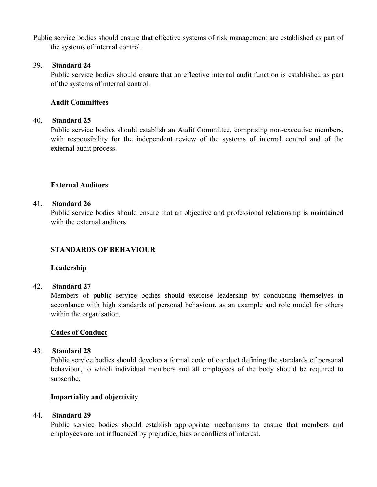Public service bodies should ensure that effective systems of risk management are established as part of the systems of internal control.

#### 39. **Standard 24**

Public service bodies should ensure that an effective internal audit function is established as part of the systems of internal control.

## **Audit Committees**

#### 40. **Standard 25**

Public service bodies should establish an Audit Committee, comprising non-executive members, with responsibility for the independent review of the systems of internal control and of the external audit process.

## **External Auditors**

#### 41. **Standard 26**

Public service bodies should ensure that an objective and professional relationship is maintained with the external auditors.

## **STANDARDS OF BEHAVIOUR**

#### **Leadership**

#### 42. **Standard 27**

Members of public service bodies should exercise leadership by conducting themselves in accordance with high standards of personal behaviour, as an example and role model for others within the organisation.

#### **Codes of Conduct**

#### 43. **Standard 28**

Public service bodies should develop a formal code of conduct defining the standards of personal behaviour, to which individual members and all employees of the body should be required to subscribe.

#### **Impartiality and objectivity**

## 44. **Standard 29**

Public service bodies should establish appropriate mechanisms to ensure that members and employees are not influenced by prejudice, bias or conflicts of interest.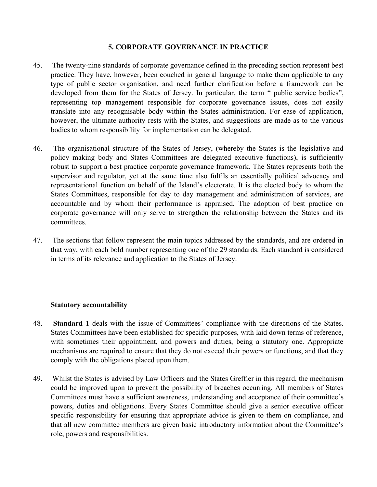## **5. CORPORATE GOVERNANCE IN PRACTICE**

- 45. The twenty-nine standards of corporate governance defined in the preceding section represent best practice. They have, however, been couched in general language to make them applicable to any type of public sector organisation, and need further clarification before a framework can be developed from them for the States of Jersey. In particular, the term " public service bodies", representing top management responsible for corporate governance issues, does not easily translate into any recognisable body within the States administration. For ease of application, however, the ultimate authority rests with the States, and suggestions are made as to the various bodies to whom responsibility for implementation can be delegated.
- 46. The organisational structure of the States of Jersey, (whereby the States is the legislative and policy making body and States Committees are delegated executive functions), is sufficiently robust to support a best practice corporate governance framework. The States represents both the supervisor and regulator, yet at the same time also fulfils an essentially political advocacy and representational function on behalf of the Island's electorate. It is the elected body to whom the States Committees, responsible for day to day management and administration of services, are accountable and by whom their performance is appraised. The adoption of best practice on corporate governance will only serve to strengthen the relationship between the States and its committees.
- 47. The sections that follow represent the main topics addressed by the standards, and are ordered in that way, with each bold number representing one of the 29 standards. Each standard is considered in terms of its relevance and application to the States of Jersey.

#### **Statutory accountability**

- 48. **Standard 1** deals with the issue of Committees' compliance with the directions of the States. States Committees have been established for specific purposes, with laid down terms of reference, with sometimes their appointment, and powers and duties, being a statutory one. Appropriate mechanisms are required to ensure that they do not exceed their powers or functions, and that they comply with the obligations placed upon them.
- 49. Whilst the States is advised by Law Officers and the States Greffier in this regard, the mechanism could be improved upon to prevent the possibility of breaches occurring. All members of States Committees must have a sufficient awareness, understanding and acceptance of their committee's powers, duties and obligations. Every States Committee should give a senior executive officer specific responsibility for ensuring that appropriate advice is given to them on compliance, and that all new committee members are given basic introductory information about the Committee's role, powers and responsibilities.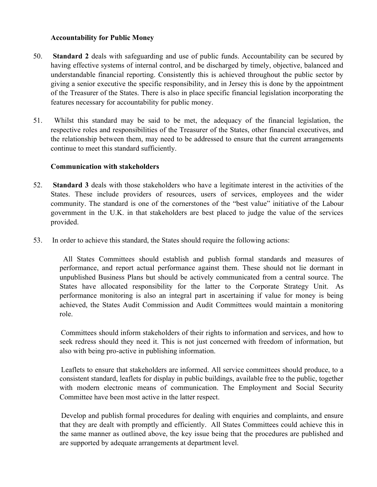## **Accountability for Public Money**

- 50. **Standard 2** deals with safeguarding and use of public funds. Accountability can be secured by having effective systems of internal control, and be discharged by timely, objective, balanced and understandable financial reporting. Consistently this is achieved throughout the public sector by giving a senior executive the specific responsibility, and in Jersey this is done by the appointment of the Treasurer of the States. There is also in place specific financial legislation incorporating the features necessary for accountability for public money.
- 51. Whilst this standard may be said to be met, the adequacy of the financial legislation, the respective roles and responsibilities of the Treasurer of the States, other financial executives, and the relationship between them, may need to be addressed to ensure that the current arrangements continue to meet this standard sufficiently.

### **Communication with stakeholders**

- 52. **Standard 3** deals with those stakeholders who have a legitimate interest in the activities of the States. These include providers of resources, users of services, employees and the wider community. The standard is one of the cornerstones of the "best value" initiative of the Labour government in the U.K. in that stakeholders are best placed to judge the value of the services provided.
- 53. In order to achieve this standard, the States should require the following actions:

 All States Committees should establish and publish formal standards and measures of performance, and report actual performance against them. These should not lie dormant in unpublished Business Plans but should be actively communicated from a central source. The States have allocated responsibility for the latter to the Corporate Strategy Unit. As performance monitoring is also an integral part in ascertaining if value for money is being achieved, the States Audit Commission and Audit Committees would maintain a monitoring role.

 Committees should inform stakeholders of their rights to information and services, and how to seek redress should they need it. This is not just concerned with freedom of information, but also with being pro-active in publishing information.

 Leaflets to ensure that stakeholders are informed. All service committees should produce, to a consistent standard, leaflets for display in public buildings, available free to the public, together with modern electronic means of communication. The Employment and Social Security Committee have been most active in the latter respect.

 Develop and publish formal procedures for dealing with enquiries and complaints, and ensure that they are dealt with promptly and efficiently. All States Committees could achieve this in the same manner as outlined above, the key issue being that the procedures are published and are supported by adequate arrangements at department level.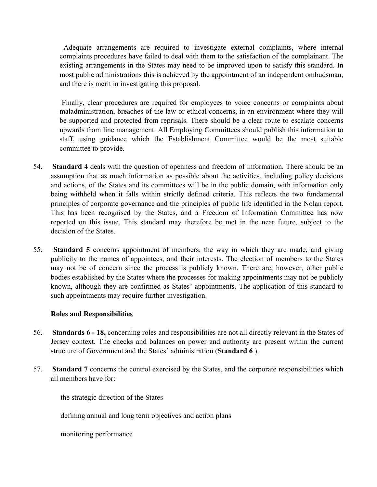Adequate arrangements are required to investigate external complaints, where internal complaints procedures have failed to deal with them to the satisfaction of the complainant. The existing arrangements in the States may need to be improved upon to satisfy this standard. In most public administrations this is achieved by the appointment of an independent ombudsman, and there is merit in investigating this proposal.

 Finally, clear procedures are required for employees to voice concerns or complaints about maladministration, breaches of the law or ethical concerns, in an environment where they will be supported and protected from reprisals. There should be a clear route to escalate concerns upwards from line management. All Employing Committees should publish this information to staff, using guidance which the Establishment Committee would be the most suitable committee to provide.

- 54. **Standard 4** deals with the question of openness and freedom of information. There should be an assumption that as much information as possible about the activities, including policy decisions and actions, of the States and its committees will be in the public domain, with information only being withheld when it falls within strictly defined criteria. This reflects the two fundamental principles of corporate governance and the principles of public life identified in the Nolan report. This has been recognised by the States, and a Freedom of Information Committee has now reported on this issue. This standard may therefore be met in the near future, subject to the decision of the States.
- 55. **Standard 5** concerns appointment of members, the way in which they are made, and giving publicity to the names of appointees, and their interests. The election of members to the States may not be of concern since the process is publicly known. There are, however, other public bodies established by the States where the processes for making appointments may not be publicly known, although they are confirmed as States' appointments. The application of this standard to such appointments may require further investigation.

## **Roles and Responsibilities**

- 56. **Standards 6 - 18,** concerning roles and responsibilities are not all directly relevant in the States of Jersey context. The checks and balances on power and authority are present within the current structure of Government and the States' administration (**Standard 6** ).
- 57. **Standard 7** concerns the control exercised by the States, and the corporate responsibilities which all members have for:

the strategic direction of the States

defining annual and long term objectives and action plans

monitoring performance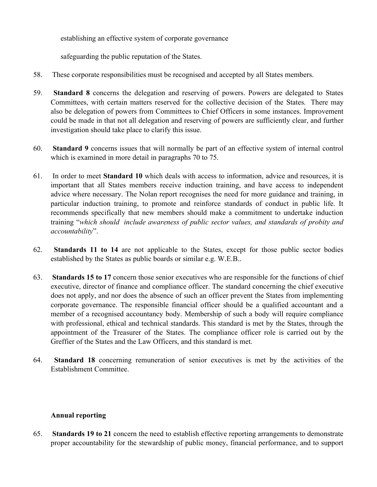establishing an effective system of corporate governance

safeguarding the public reputation of the States.

- 58. These corporate responsibilities must be recognised and accepted by all States members.
- 59. **Standard 8** concerns the delegation and reserving of powers. Powers are delegated to States Committees, with certain matters reserved for the collective decision of the States. There may also be delegation of powers from Committees to Chief Officers in some instances. Improvement could be made in that not all delegation and reserving of powers are sufficiently clear, and further investigation should take place to clarify this issue.
- 60. **Standard 9** concerns issues that will normally be part of an effective system of internal control which is examined in more detail in paragraphs 70 to 75.
- 61. In order to meet **Standard 10** which deals with access to information, advice and resources, it is important that all States members receive induction training, and have access to independent advice where necessary. The Nolan report recognises the need for more guidance and training, in particular induction training, to promote and reinforce standards of conduct in public life. It recommends specifically that new members should make a commitment to undertake induction training "*which should include awareness of public sector values, and standards of probity and accountability*".
- 62. **Standards 11 to 14** are not applicable to the States, except for those public sector bodies established by the States as public boards or similar e.g. W.E.B..
- 63. **Standards 15 to 17** concern those senior executives who are responsible for the functions of chief executive, director of finance and compliance officer. The standard concerning the chief executive does not apply, and nor does the absence of such an officer prevent the States from implementing corporate governance. The responsible financial officer should be a qualified accountant and a member of a recognised accountancy body. Membership of such a body will require compliance with professional, ethical and technical standards. This standard is met by the States, through the appointment of the Treasurer of the States. The compliance officer role is carried out by the Greffier of the States and the Law Officers, and this standard is met.
- 64. **Standard 18** concerning remuneration of senior executives is met by the activities of the Establishment Committee.

## **Annual reporting**

65. **Standards 19 to 21** concern the need to establish effective reporting arrangements to demonstrate proper accountability for the stewardship of public money, financial performance, and to support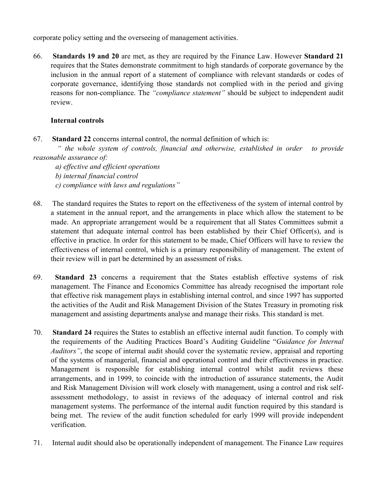corporate policy setting and the overseeing of management activities.

66. **Standards 19 and 20** are met, as they are required by the Finance Law. However **Standard 21** requires that the States demonstrate commitment to high standards of corporate governance by the inclusion in the annual report of a statement of compliance with relevant standards or codes of corporate governance, identifying those standards not complied with in the period and giving reasons for non-compliance. The *"compliance statement"* should be subject to independent audit review.

## **Internal controls**

67. **Standard 22** concerns internal control, the normal definition of which is:

 *" the whole system of controls, financial and otherwise, established in order to provide reasonable assurance of:*

- *a) effective and efficient operations*
- *b) internal financial control*
- *c) compliance with laws and regulations"*
- 68. The standard requires the States to report on the effectiveness of the system of internal control by a statement in the annual report, and the arrangements in place which allow the statement to be made. An appropriate arrangement would be a requirement that all States Committees submit a statement that adequate internal control has been established by their Chief Officer(s), and is effective in practice. In order for this statement to be made, Chief Officers will have to review the effectiveness of internal control, which is a primary responsibility of management. The extent of their review will in part be determined by an assessment of risks.
- 69. **Standard 23** concerns a requirement that the States establish effective systems of risk management. The Finance and Economics Committee has already recognised the important role that effective risk management plays in establishing internal control, and since 1997 has supported the activities of the Audit and Risk Management Division of the States Treasury in promoting risk management and assisting departments analyse and manage their risks. This standard is met.
- 70. **Standard 24** requires the States to establish an effective internal audit function. To comply with the requirements of the Auditing Practices Board's Auditing Guideline "*Guidance for Internal Auditors"*, the scope of internal audit should cover the systematic review, appraisal and reporting of the systems of managerial, financial and operational control and their effectiveness in practice. Management is responsible for establishing internal control whilst audit reviews these arrangements, and in 1999, to coincide with the introduction of assurance statements, the Audit and Risk Management Division will work closely with management, using a control and risk selfassessment methodology, to assist in reviews of the adequacy of internal control and risk management systems. The performance of the internal audit function required by this standard is being met. The review of the audit function scheduled for early 1999 will provide independent verification.
- 71. Internal audit should also be operationally independent of management. The Finance Law requires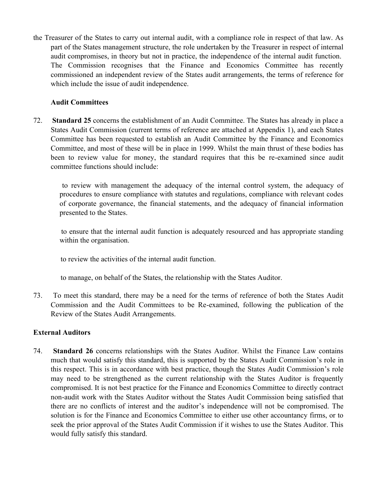the Treasurer of the States to carry out internal audit, with a compliance role in respect of that law. As part of the States management structure, the role undertaken by the Treasurer in respect of internal audit compromises, in theory but not in practice, the independence of the internal audit function. The Commission recognises that the Finance and Economics Committee has recently commissioned an independent review of the States audit arrangements, the terms of reference for which include the issue of audit independence.

## **Audit Committees**

72. **Standard 25** concerns the establishment of an Audit Committee. The States has already in place a States Audit Commission (current terms of reference are attached at Appendix 1), and each States Committee has been requested to establish an Audit Committee by the Finance and Economics Committee, and most of these will be in place in 1999. Whilst the main thrust of these bodies has been to review value for money, the standard requires that this be re-examined since audit committee functions should include:

 to review with management the adequacy of the internal control system, the adequacy of procedures to ensure compliance with statutes and regulations, compliance with relevant codes of corporate governance, the financial statements, and the adequacy of financial information presented to the States.

 to ensure that the internal audit function is adequately resourced and has appropriate standing within the organisation.

to review the activities of the internal audit function.

to manage, on behalf of the States, the relationship with the States Auditor.

73. To meet this standard, there may be a need for the terms of reference of both the States Audit Commission and the Audit Committees to be Re-examined, following the publication of the Review of the States Audit Arrangements.

## **External Auditors**

74. **Standard 26** concerns relationships with the States Auditor. Whilst the Finance Law contains much that would satisfy this standard, this is supported by the States Audit Commission's role in this respect. This is in accordance with best practice, though the States Audit Commission's role may need to be strengthened as the current relationship with the States Auditor is frequently compromised. It is not best practice for the Finance and Economics Committee to directly contract non-audit work with the States Auditor without the States Audit Commission being satisfied that there are no conflicts of interest and the auditor's independence will not be compromised. The solution is for the Finance and Economics Committee to either use other accountancy firms, or to seek the prior approval of the States Audit Commission if it wishes to use the States Auditor. This would fully satisfy this standard.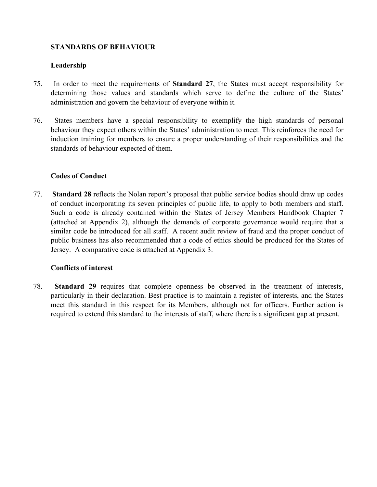## **STANDARDS OF BEHAVIOUR**

## **Leadership**

- 75. In order to meet the requirements of **Standard 27**, the States must accept responsibility for determining those values and standards which serve to define the culture of the States' administration and govern the behaviour of everyone within it.
- 76. States members have a special responsibility to exemplify the high standards of personal behaviour they expect others within the States' administration to meet. This reinforces the need for induction training for members to ensure a proper understanding of their responsibilities and the standards of behaviour expected of them.

## **Codes of Conduct**

77. **Standard 28** reflects the Nolan report's proposal that public service bodies should draw up codes of conduct incorporating its seven principles of public life, to apply to both members and staff. Such a code is already contained within the States of Jersey Members Handbook Chapter 7 (attached at Appendix 2), although the demands of corporate governance would require that a similar code be introduced for all staff. A recent audit review of fraud and the proper conduct of public business has also recommended that a code of ethics should be produced for the States of Jersey. A comparative code is attached at Appendix 3.

## **Conflicts of interest**

78. **Standard 29** requires that complete openness be observed in the treatment of interests, particularly in their declaration. Best practice is to maintain a register of interests, and the States meet this standard in this respect for its Members, although not for officers. Further action is required to extend this standard to the interests of staff, where there is a significant gap at present.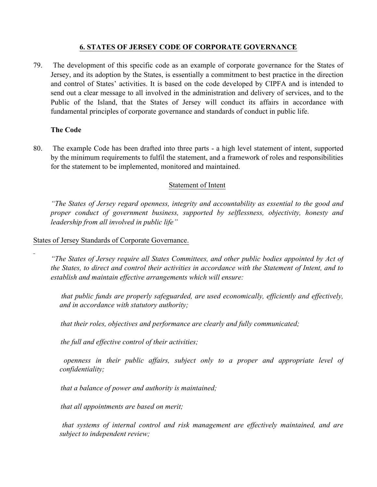## **6. STATES OF JERSEY CODE OF CORPORATE GOVERNANCE**

79. The development of this specific code as an example of corporate governance for the States of Jersey, and its adoption by the States, is essentially a commitment to best practice in the direction and control of States' activities. It is based on the code developed by CIPFA and is intended to send out a clear message to all involved in the administration and delivery of services, and to the Public of the Island, that the States of Jersey will conduct its affairs in accordance with fundamental principles of corporate governance and standards of conduct in public life.

### **The Code**

80. The example Code has been drafted into three parts - a high level statement of intent, supported by the minimum requirements to fulfil the statement, and a framework of roles and responsibilities for the statement to be implemented, monitored and maintained.

### Statement of Intent

*"The States of Jersey regard openness, integrity and accountability as essential to the good and proper conduct of government business, supported by selflessness, objectivity, honesty and leadership from all involved in public life"*

States of Jersey Standards of Corporate Governance.

*"The States of Jersey require all States Committees, and other public bodies appointed by Act of the States, to direct and control their activities in accordance with the Statement of Intent, and to establish and maintain effective arrangements which will ensure:*

 *that public funds are properly safeguarded, are used economically, efficiently and effectively, and in accordance with statutory authority;*

*that their roles, objectives and performance are clearly and fully communicated;*

*the full and effective control of their activities;*

 *openness in their public affairs, subject only to a proper and appropriate level of confidentiality;*

*that a balance of power and authority is maintained;*

*that all appointments are based on merit;*

 *that systems of internal control and risk management are effectively maintained, and are subject to independent review;*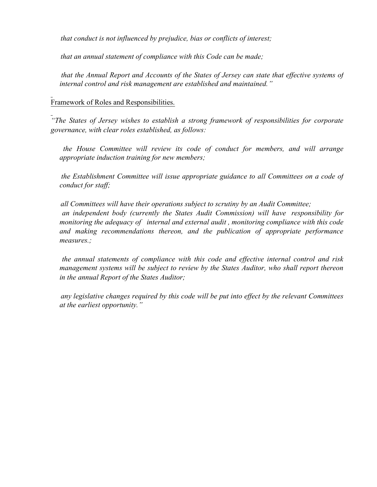*that conduct is not influenced by prejudice, bias or conflicts of interest;*

*that an annual statement of compliance with this Code can be made;*

 *that the Annual Report and Accounts of the States of Jersey can state that effective systems of internal control and risk management are established and maintained."*

Framework of Roles and Responsibilities.

*"The States of Jersey wishes to establish a strong framework of responsibilities for corporate governance, with clear roles established, as follows:*

 *the House Committee will review its code of conduct for members, and will arrange appropriate induction training for new members;*

 *the Establishment Committee will issue appropriate guidance to all Committees on a code of conduct for staff;*

 *all Committees will have their operations subject to scrutiny by an Audit Committee; an independent body (currently the States Audit Commission) will have responsibility for monitoring the adequacy of internal and external audit , monitoring compliance with this code and making recommendations thereon, and the publication of appropriate performance measures.;*

 *the annual statements of compliance with this code and effective internal control and risk management systems will be subject to review by the States Auditor, who shall report thereon in the annual Report of the States Auditor;*

 *any legislative changes required by this code will be put into effect by the relevant Committees at the earliest opportunity."*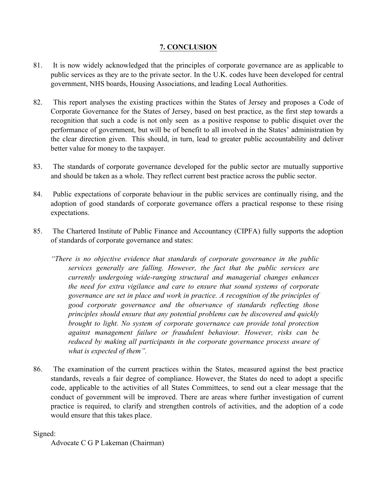## **7. CONCLUSION**

- 81. It is now widely acknowledged that the principles of corporate governance are as applicable to public services as they are to the private sector. In the U.K. codes have been developed for central government, NHS boards, Housing Associations, and leading Local Authorities.
- 82. This report analyses the existing practices within the States of Jersey and proposes a Code of Corporate Governance for the States of Jersey, based on best practice, as the first step towards a recognition that such a code is not only seen as a positive response to public disquiet over the performance of government, but will be of benefit to all involved in the States' administration by the clear direction given. This should, in turn, lead to greater public accountability and deliver better value for money to the taxpayer.
- 83. The standards of corporate governance developed for the public sector are mutually supportive and should be taken as a whole. They reflect current best practice across the public sector.
- 84. Public expectations of corporate behaviour in the public services are continually rising, and the adoption of good standards of corporate governance offers a practical response to these rising expectations.
- 85. The Chartered Institute of Public Finance and Accountancy (CIPFA) fully supports the adoption of standards of corporate governance and states:
	- *"There is no objective evidence that standards of corporate governance in the public services generally are falling. However, the fact that the public services are currently undergoing wide-ranging structural and managerial changes enhances the need for extra vigilance and care to ensure that sound systems of corporate governance are set in place and work in practice. A recognition of the principles of good corporate governance and the observance of standards reflecting those principles should ensure that any potential problems can be discovered and quickly brought to light. No system of corporate governance can provide total protection against management failure or fraudulent behaviour. However, risks can be reduced by making all participants in the corporate governance process aware of what is expected of them".*
- 86. The examination of the current practices within the States, measured against the best practice standards, reveals a fair degree of compliance. However, the States do need to adopt a specific code, applicable to the activities of all States Committees, to send out a clear message that the conduct of government will be improved. There are areas where further investigation of current practice is required, to clarify and strengthen controls of activities, and the adoption of a code would ensure that this takes place.

Signed:

Advocate C G P Lakeman (Chairman)